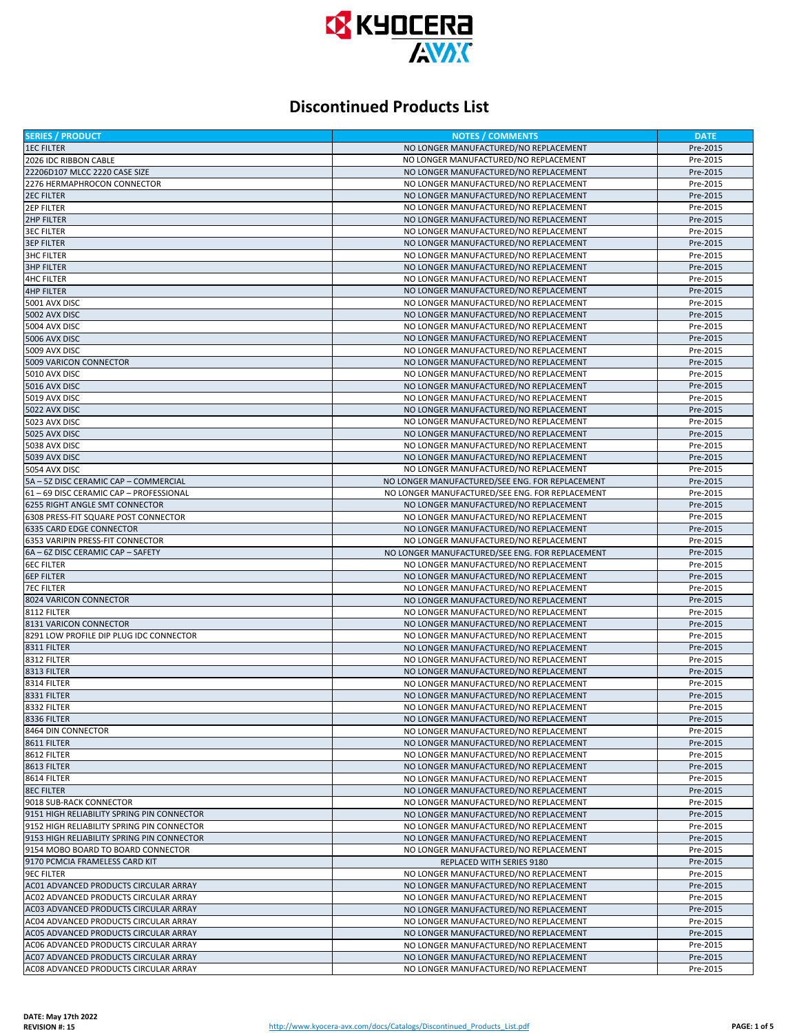

| <b>SERIES / PRODUCT</b>                    | <b>NOTES / COMMENTS</b>                         | <b>DATE</b> |
|--------------------------------------------|-------------------------------------------------|-------------|
| <b>1EC FILTER</b>                          | NO LONGER MANUFACTURED/NO REPLACEMENT           | Pre-2015    |
|                                            |                                                 |             |
| 2026 IDC RIBBON CABLE                      | NO LONGER MANUFACTURED/NO REPLACEMENT           | Pre-2015    |
| 22206D107 MLCC 2220 CASE SIZE              | NO LONGER MANUFACTURED/NO REPLACEMENT           | Pre-2015    |
| 2276 HERMAPHROCON CONNECTOR                | NO LONGER MANUFACTURED/NO REPLACEMENT           | Pre-2015    |
| <b>2EC FILTER</b>                          | NO LONGER MANUFACTURED/NO REPLACEMENT           | Pre-2015    |
| <b>2EP FILTER</b>                          | NO LONGER MANUFACTURED/NO REPLACEMENT           | Pre-2015    |
| <b>2HP FILTER</b>                          | NO LONGER MANUFACTURED/NO REPLACEMENT           | Pre-2015    |
| <b>3EC FILTER</b>                          | NO LONGER MANUFACTURED/NO REPLACEMENT           | Pre-2015    |
| <b>3EP FILTER</b>                          | NO LONGER MANUFACTURED/NO REPLACEMENT           | Pre-2015    |
| <b>3HC FILTER</b>                          | NO LONGER MANUFACTURED/NO REPLACEMENT           | Pre-2015    |
| <b>3HP FILTER</b>                          | NO LONGER MANUFACTURED/NO REPLACEMENT           | Pre-2015    |
| <b>4HC FILTER</b>                          | NO LONGER MANUFACTURED/NO REPLACEMENT           | Pre-2015    |
| <b>4HP FILTER</b>                          | NO LONGER MANUFACTURED/NO REPLACEMENT           | Pre-2015    |
| 5001 AVX DISC                              | NO LONGER MANUFACTURED/NO REPLACEMENT           | Pre-2015    |
|                                            | NO LONGER MANUFACTURED/NO REPLACEMENT           |             |
| 5002 AVX DISC                              |                                                 | Pre-2015    |
| 5004 AVX DISC                              | NO LONGER MANUFACTURED/NO REPLACEMENT           | Pre-2015    |
| 5006 AVX DISC                              | NO LONGER MANUFACTURED/NO REPLACEMENT           | Pre-2015    |
| 5009 AVX DISC                              | NO LONGER MANUFACTURED/NO REPLACEMENT           | Pre-2015    |
| 5009 VARICON CONNECTOR                     | NO LONGER MANUFACTURED/NO REPLACEMENT           | Pre-2015    |
| 5010 AVX DISC                              | NO LONGER MANUFACTURED/NO REPLACEMENT           | Pre-2015    |
| 5016 AVX DISC                              | NO LONGER MANUFACTURED/NO REPLACEMENT           | Pre-2015    |
| 5019 AVX DISC                              | NO LONGER MANUFACTURED/NO REPLACEMENT           | Pre-2015    |
| 5022 AVX DISC                              | NO LONGER MANUFACTURED/NO REPLACEMENT           | Pre-2015    |
| 5023 AVX DISC                              | NO LONGER MANUFACTURED/NO REPLACEMENT           | Pre-2015    |
| 5025 AVX DISC                              | NO LONGER MANUFACTURED/NO REPLACEMENT           | Pre-2015    |
| 5038 AVX DISC                              | NO LONGER MANUFACTURED/NO REPLACEMENT           | Pre-2015    |
| 5039 AVX DISC                              | NO LONGER MANUFACTURED/NO REPLACEMENT           | Pre-2015    |
| 5054 AVX DISC                              | NO LONGER MANUFACTURED/NO REPLACEMENT           | Pre-2015    |
|                                            |                                                 |             |
| 5A - 5Z DISC CERAMIC CAP - COMMERCIAL      | NO LONGER MANUFACTURED/SEE ENG. FOR REPLACEMENT | Pre-2015    |
| 61-69 DISC CERAMIC CAP-PROFESSIONAL        | NO LONGER MANUFACTURED/SEE ENG. FOR REPLACEMENT | Pre-2015    |
| 6255 RIGHT ANGLE SMT CONNECTOR             | NO LONGER MANUFACTURED/NO REPLACEMENT           | Pre-2015    |
| 6308 PRESS-FIT SQUARE POST CONNECTOR       | NO LONGER MANUFACTURED/NO REPLACEMENT           | Pre-2015    |
| 6335 CARD EDGE CONNECTOR                   | NO LONGER MANUFACTURED/NO REPLACEMENT           | Pre-2015    |
| 6353 VARIPIN PRESS-FIT CONNECTOR           | NO LONGER MANUFACTURED/NO REPLACEMENT           | Pre-2015    |
| 6A - 6Z DISC CERAMIC CAP - SAFETY          | NO LONGER MANUFACTURED/SEE ENG. FOR REPLACEMENT | Pre-2015    |
| <b>6EC FILTER</b>                          | NO LONGER MANUFACTURED/NO REPLACEMENT           | Pre-2015    |
| <b>6EP FILTER</b>                          | NO LONGER MANUFACTURED/NO REPLACEMENT           | Pre-2015    |
| <b>7EC FILTER</b>                          | NO LONGER MANUFACTURED/NO REPLACEMENT           | Pre-2015    |
| 8024 VARICON CONNECTOR                     | NO LONGER MANUFACTURED/NO REPLACEMENT           | Pre-2015    |
| 8112 FILTER                                | NO LONGER MANUFACTURED/NO REPLACEMENT           | Pre-2015    |
| 8131 VARICON CONNECTOR                     | NO LONGER MANUFACTURED/NO REPLACEMENT           | Pre-2015    |
| 8291 LOW PROFILE DIP PLUG IDC CONNECTOR    | NO LONGER MANUFACTURED/NO REPLACEMENT           | Pre-2015    |
| 8311 FILTER                                | NO LONGER MANUFACTURED/NO REPLACEMENT           |             |
|                                            |                                                 | Pre-2015    |
| 8312 FILTER                                | NO LONGER MANUFACTURED/NO REPLACEMENT           | Pre-2015    |
| 8313 FILTER                                | NO LONGER MANUFACTURED/NO REPLACEMENT           | Pre-2015    |
| 8314 FILTER                                | NO LONGER MANUFACTURED/NO REPLACEMENT           | Pre-2015    |
| 8331 FILTER                                | NO LONGER MANUFACTURED/NO REPLACEMENT           | Pre-2015    |
| 8332 FILTER                                | NO LONGER MANUFACTURED/NO REPLACEMENT           | Pre-2015    |
| 8336 FILTER                                | NO LONGER MANUFACTURED/NO REPLACEMENT           | Pre-2015    |
| 8464 DIN CONNECTOR                         | NO LONGER MANUFACTURED/NO REPLACEMENT           | Pre-2015    |
| 8611 FILTER                                | NO LONGER MANUFACTURED/NO REPLACEMENT           | Pre-2015    |
| 8612 FILTER                                | NO LONGER MANUFACTURED/NO REPLACEMENT           | Pre-2015    |
| 8613 FILTER                                | NO LONGER MANUFACTURED/NO REPLACEMENT           | Pre-2015    |
| 8614 FILTER                                | NO LONGER MANUFACTURED/NO REPLACEMENT           | Pre-2015    |
| <b>8EC FILTER</b>                          | NO LONGER MANUFACTURED/NO REPLACEMENT           | Pre-2015    |
| 9018 SUB-RACK CONNECTOR                    | NO LONGER MANUFACTURED/NO REPLACEMENT           | Pre-2015    |
| 9151 HIGH RELIABILITY SPRING PIN CONNECTOR | NO LONGER MANUFACTURED/NO REPLACEMENT           | Pre-2015    |
| 9152 HIGH RELIABILITY SPRING PIN CONNECTOR |                                                 |             |
|                                            | NO LONGER MANUFACTURED/NO REPLACEMENT           | Pre-2015    |
| 9153 HIGH RELIABILITY SPRING PIN CONNECTOR | NO LONGER MANUFACTURED/NO REPLACEMENT           | Pre-2015    |
| 9154 MOBO BOARD TO BOARD CONNECTOR         | NO LONGER MANUFACTURED/NO REPLACEMENT           | Pre-2015    |
| 9170 PCMCIA FRAMELESS CARD KIT             | REPLACED WITH SERIES 9180                       | Pre-2015    |
| <b>9EC FILTER</b>                          | NO LONGER MANUFACTURED/NO REPLACEMENT           | Pre-2015    |
| AC01 ADVANCED PRODUCTS CIRCULAR ARRAY      | NO LONGER MANUFACTURED/NO REPLACEMENT           | Pre-2015    |
| AC02 ADVANCED PRODUCTS CIRCULAR ARRAY      | NO LONGER MANUFACTURED/NO REPLACEMENT           | Pre-2015    |
| AC03 ADVANCED PRODUCTS CIRCULAR ARRAY      | NO LONGER MANUFACTURED/NO REPLACEMENT           | Pre-2015    |
| AC04 ADVANCED PRODUCTS CIRCULAR ARRAY      | NO LONGER MANUFACTURED/NO REPLACEMENT           | Pre-2015    |
| AC05 ADVANCED PRODUCTS CIRCULAR ARRAY      | NO LONGER MANUFACTURED/NO REPLACEMENT           | Pre-2015    |
| AC06 ADVANCED PRODUCTS CIRCULAR ARRAY      | NO LONGER MANUFACTURED/NO REPLACEMENT           | Pre-2015    |
|                                            |                                                 |             |
| AC07 ADVANCED PRODUCTS CIRCULAR ARRAY      | NO LONGER MANUFACTURED/NO REPLACEMENT           | Pre-2015    |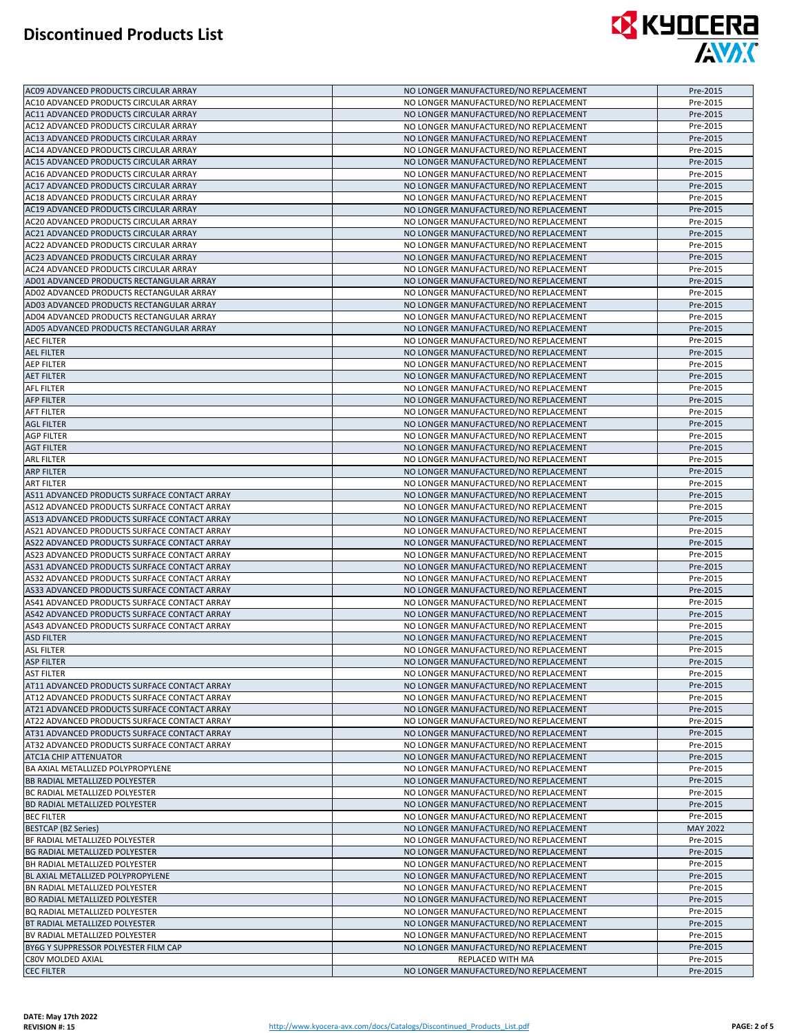

| AC09 ADVANCED PRODUCTS CIRCULAR ARRAY                                                                                                                                                                                                                                                                                                                     | NO LONGER MANUFACTURED/NO REPLACEMENT                     | Pre-2015             |
|-----------------------------------------------------------------------------------------------------------------------------------------------------------------------------------------------------------------------------------------------------------------------------------------------------------------------------------------------------------|-----------------------------------------------------------|----------------------|
| AC10 ADVANCED PRODUCTS CIRCULAR ARRAY                                                                                                                                                                                                                                                                                                                     | NO LONGER MANUFACTURED/NO REPLACEMENT                     | Pre-2015             |
| AC11 ADVANCED PRODUCTS CIRCULAR ARRAY                                                                                                                                                                                                                                                                                                                     | NO LONGER MANUFACTURED/NO REPLACEMENT                     | Pre-2015             |
| AC12 ADVANCED PRODUCTS CIRCULAR ARRAY                                                                                                                                                                                                                                                                                                                     | NO LONGER MANUFACTURED/NO REPLACEMENT                     | Pre-2015             |
|                                                                                                                                                                                                                                                                                                                                                           |                                                           |                      |
| AC13 ADVANCED PRODUCTS CIRCULAR ARRAY                                                                                                                                                                                                                                                                                                                     | NO LONGER MANUFACTURED/NO REPLACEMENT                     | Pre-2015             |
| AC14 ADVANCED PRODUCTS CIRCULAR ARRAY                                                                                                                                                                                                                                                                                                                     | NO LONGER MANUFACTURED/NO REPLACEMENT                     | Pre-2015             |
| AC15 ADVANCED PRODUCTS CIRCULAR ARRAY                                                                                                                                                                                                                                                                                                                     | NO LONGER MANUFACTURED/NO REPLACEMENT                     | Pre-2015             |
|                                                                                                                                                                                                                                                                                                                                                           |                                                           |                      |
| AC16 ADVANCED PRODUCTS CIRCULAR ARRAY                                                                                                                                                                                                                                                                                                                     | NO LONGER MANUFACTURED/NO REPLACEMENT                     | Pre-2015             |
| AC17 ADVANCED PRODUCTS CIRCULAR ARRAY                                                                                                                                                                                                                                                                                                                     | NO LONGER MANUFACTURED/NO REPLACEMENT                     | Pre-2015             |
| AC18 ADVANCED PRODUCTS CIRCULAR ARRAY                                                                                                                                                                                                                                                                                                                     | NO LONGER MANUFACTURED/NO REPLACEMENT                     | Pre-2015             |
| AC19 ADVANCED PRODUCTS CIRCULAR ARRAY                                                                                                                                                                                                                                                                                                                     | NO LONGER MANUFACTURED/NO REPLACEMENT                     | Pre-2015             |
|                                                                                                                                                                                                                                                                                                                                                           |                                                           |                      |
| AC20 ADVANCED PRODUCTS CIRCULAR ARRAY                                                                                                                                                                                                                                                                                                                     | NO LONGER MANUFACTURED/NO REPLACEMENT                     | Pre-2015             |
| AC21 ADVANCED PRODUCTS CIRCULAR ARRAY                                                                                                                                                                                                                                                                                                                     | NO LONGER MANUFACTURED/NO REPLACEMENT                     | Pre-2015             |
| AC22 ADVANCED PRODUCTS CIRCULAR ARRAY                                                                                                                                                                                                                                                                                                                     | NO LONGER MANUFACTURED/NO REPLACEMENT                     | Pre-2015             |
| AC23 ADVANCED PRODUCTS CIRCULAR ARRAY                                                                                                                                                                                                                                                                                                                     | NO LONGER MANUFACTURED/NO REPLACEMENT                     | Pre-2015             |
|                                                                                                                                                                                                                                                                                                                                                           |                                                           |                      |
| AC24 ADVANCED PRODUCTS CIRCULAR ARRAY                                                                                                                                                                                                                                                                                                                     | NO LONGER MANUFACTURED/NO REPLACEMENT                     | Pre-2015             |
| AD01 ADVANCED PRODUCTS RECTANGULAR ARRAY                                                                                                                                                                                                                                                                                                                  | NO LONGER MANUFACTURED/NO REPLACEMENT                     | Pre-2015             |
| AD02 ADVANCED PRODUCTS RECTANGULAR ARRAY                                                                                                                                                                                                                                                                                                                  | NO LONGER MANUFACTURED/NO REPLACEMENT                     | Pre-2015             |
|                                                                                                                                                                                                                                                                                                                                                           |                                                           |                      |
| AD03 ADVANCED PRODUCTS RECTANGULAR ARRAY                                                                                                                                                                                                                                                                                                                  | NO LONGER MANUFACTURED/NO REPLACEMENT                     | Pre-2015             |
| AD04 ADVANCED PRODUCTS RECTANGULAR ARRAY                                                                                                                                                                                                                                                                                                                  | NO LONGER MANUFACTURED/NO REPLACEMENT                     | Pre-2015             |
| AD05 ADVANCED PRODUCTS RECTANGULAR ARRAY                                                                                                                                                                                                                                                                                                                  | NO LONGER MANUFACTURED/NO REPLACEMENT                     | Pre-2015             |
| <b>AEC FILTER</b>                                                                                                                                                                                                                                                                                                                                         | NO LONGER MANUFACTURED/NO REPLACEMENT                     | Pre-2015             |
|                                                                                                                                                                                                                                                                                                                                                           |                                                           |                      |
| <b>AEL FILTER</b>                                                                                                                                                                                                                                                                                                                                         | NO LONGER MANUFACTURED/NO REPLACEMENT                     | Pre-2015             |
| <b>AEP FILTER</b>                                                                                                                                                                                                                                                                                                                                         | NO LONGER MANUFACTURED/NO REPLACEMENT                     | Pre-2015             |
| <b>AET FILTER</b>                                                                                                                                                                                                                                                                                                                                         | NO LONGER MANUFACTURED/NO REPLACEMENT                     | Pre-2015             |
|                                                                                                                                                                                                                                                                                                                                                           | NO LONGER MANUFACTURED/NO REPLACEMENT                     |                      |
| <b>AFL FILTER</b>                                                                                                                                                                                                                                                                                                                                         |                                                           | Pre-2015             |
| <b>AFP FILTER</b>                                                                                                                                                                                                                                                                                                                                         | NO LONGER MANUFACTURED/NO REPLACEMENT                     | Pre-2015             |
| <b>AFT FILTER</b>                                                                                                                                                                                                                                                                                                                                         | NO LONGER MANUFACTURED/NO REPLACEMENT                     | Pre-2015             |
| <b>AGL FILTER</b>                                                                                                                                                                                                                                                                                                                                         | NO LONGER MANUFACTURED/NO REPLACEMENT                     | Pre-2015             |
|                                                                                                                                                                                                                                                                                                                                                           |                                                           |                      |
| <b>AGP FILTER</b>                                                                                                                                                                                                                                                                                                                                         | NO LONGER MANUFACTURED/NO REPLACEMENT                     | Pre-2015             |
| <b>AGT FILTER</b>                                                                                                                                                                                                                                                                                                                                         | NO LONGER MANUFACTURED/NO REPLACEMENT                     | Pre-2015             |
| <b>ARL FILTER</b>                                                                                                                                                                                                                                                                                                                                         | NO LONGER MANUFACTURED/NO REPLACEMENT                     | Pre-2015             |
| <b>ARP FILTER</b>                                                                                                                                                                                                                                                                                                                                         |                                                           | Pre-2015             |
|                                                                                                                                                                                                                                                                                                                                                           | NO LONGER MANUFACTURED/NO REPLACEMENT                     |                      |
| <b>ART FILTER</b>                                                                                                                                                                                                                                                                                                                                         | NO LONGER MANUFACTURED/NO REPLACEMENT                     | Pre-2015             |
| AS11 ADVANCED PRODUCTS SURFACE CONTACT ARRAY                                                                                                                                                                                                                                                                                                              | NO LONGER MANUFACTURED/NO REPLACEMENT                     | Pre-2015             |
| AS12 ADVANCED PRODUCTS SURFACE CONTACT ARRAY                                                                                                                                                                                                                                                                                                              | NO LONGER MANUFACTURED/NO REPLACEMENT                     | Pre-2015             |
|                                                                                                                                                                                                                                                                                                                                                           |                                                           |                      |
| AS13 ADVANCED PRODUCTS SURFACE CONTACT ARRAY                                                                                                                                                                                                                                                                                                              | NO LONGER MANUFACTURED/NO REPLACEMENT                     | Pre-2015             |
| AS21 ADVANCED PRODUCTS SURFACE CONTACT ARRAY                                                                                                                                                                                                                                                                                                              | NO LONGER MANUFACTURED/NO REPLACEMENT                     | Pre-2015             |
| AS22 ADVANCED PRODUCTS SURFACE CONTACT ARRAY                                                                                                                                                                                                                                                                                                              | NO LONGER MANUFACTURED/NO REPLACEMENT                     | Pre-2015             |
| AS23 ADVANCED PRODUCTS SURFACE CONTACT ARRAY                                                                                                                                                                                                                                                                                                              | NO LONGER MANUFACTURED/NO REPLACEMENT                     | Pre-2015             |
|                                                                                                                                                                                                                                                                                                                                                           |                                                           |                      |
|                                                                                                                                                                                                                                                                                                                                                           |                                                           |                      |
| AS31 ADVANCED PRODUCTS SURFACE CONTACT ARRAY                                                                                                                                                                                                                                                                                                              | NO LONGER MANUFACTURED/NO REPLACEMENT                     | Pre-2015             |
| AS32 ADVANCED PRODUCTS SURFACE CONTACT ARRAY                                                                                                                                                                                                                                                                                                              | NO LONGER MANUFACTURED/NO REPLACEMENT                     | Pre-2015             |
|                                                                                                                                                                                                                                                                                                                                                           |                                                           |                      |
| AS33 ADVANCED PRODUCTS SURFACE CONTACT ARRAY                                                                                                                                                                                                                                                                                                              | NO LONGER MANUFACTURED/NO REPLACEMENT                     | Pre-2015             |
| AS41 ADVANCED PRODUCTS SURFACE CONTACT ARRAY                                                                                                                                                                                                                                                                                                              | NO LONGER MANUFACTURED/NO REPLACEMENT                     | Pre-2015             |
| AS42 ADVANCED PRODUCTS SURFACE CONTACT ARRAY                                                                                                                                                                                                                                                                                                              | NO LONGER MANUFACTURED/NO REPLACEMENT                     | Pre-2015             |
|                                                                                                                                                                                                                                                                                                                                                           | NO LONGER MANUFACTURED/NO REPLACEMENT                     | Pre-2015             |
|                                                                                                                                                                                                                                                                                                                                                           |                                                           |                      |
| AS43 ADVANCED PRODUCTS SURFACE CONTACT ARRAY<br><b>ASD FILTER</b>                                                                                                                                                                                                                                                                                         | NO LONGER MANUFACTURED/NO REPLACEMENT                     | Pre-2015             |
|                                                                                                                                                                                                                                                                                                                                                           | NO LONGER MANUFACTURED/NO REPLACEMENT                     | Pre-2015             |
| <b>ASL FILTER</b><br><b>ASP FILTER</b>                                                                                                                                                                                                                                                                                                                    | NO LONGER MANUFACTURED/NO REPLACEMENT                     | Pre-2015             |
|                                                                                                                                                                                                                                                                                                                                                           | NO LONGER MANUFACTURED/NO REPLACEMENT                     | Pre-2015             |
| <b>AST FILTER</b>                                                                                                                                                                                                                                                                                                                                         |                                                           |                      |
|                                                                                                                                                                                                                                                                                                                                                           | NO LONGER MANUFACTURED/NO REPLACEMENT                     | Pre-2015             |
|                                                                                                                                                                                                                                                                                                                                                           | NO LONGER MANUFACTURED/NO REPLACEMENT                     | Pre-2015             |
| AT21 ADVANCED PRODUCTS SURFACE CONTACT ARRAY                                                                                                                                                                                                                                                                                                              | NO LONGER MANUFACTURED/NO REPLACEMENT                     | Pre-2015             |
| AT22 ADVANCED PRODUCTS SURFACE CONTACT ARRAY                                                                                                                                                                                                                                                                                                              | NO LONGER MANUFACTURED/NO REPLACEMENT                     | Pre-2015             |
|                                                                                                                                                                                                                                                                                                                                                           |                                                           |                      |
| AT31 ADVANCED PRODUCTS SURFACE CONTACT ARRAY                                                                                                                                                                                                                                                                                                              | NO LONGER MANUFACTURED/NO REPLACEMENT                     | Pre-2015             |
| AT32 ADVANCED PRODUCTS SURFACE CONTACT ARRAY                                                                                                                                                                                                                                                                                                              | NO LONGER MANUFACTURED/NO REPLACEMENT                     | Pre-2015             |
| AT11 ADVANCED PRODUCTS SURFACE CONTACT ARRAY<br>AT12 ADVANCED PRODUCTS SURFACE CONTACT ARRAY<br>ATC1A CHIP ATTENUATOR                                                                                                                                                                                                                                     | NO LONGER MANUFACTURED/NO REPLACEMENT                     | Pre-2015             |
| BA AXIAL METALLIZED POLYPROPYLENE                                                                                                                                                                                                                                                                                                                         | NO LONGER MANUFACTURED/NO REPLACEMENT                     | Pre-2015             |
|                                                                                                                                                                                                                                                                                                                                                           |                                                           |                      |
|                                                                                                                                                                                                                                                                                                                                                           | NO LONGER MANUFACTURED/NO REPLACEMENT                     | Pre-2015             |
| BC RADIAL METALLIZED POLYESTER                                                                                                                                                                                                                                                                                                                            | NO LONGER MANUFACTURED/NO REPLACEMENT                     | Pre-2015             |
|                                                                                                                                                                                                                                                                                                                                                           | NO LONGER MANUFACTURED/NO REPLACEMENT                     | Pre-2015             |
|                                                                                                                                                                                                                                                                                                                                                           | NO LONGER MANUFACTURED/NO REPLACEMENT                     | Pre-2015             |
|                                                                                                                                                                                                                                                                                                                                                           |                                                           |                      |
| BB RADIAL METALLIZED POLYESTER<br>BD RADIAL METALLIZED POLYESTER<br><b>BEC FILTER</b><br><b>BESTCAP (BZ Series)</b>                                                                                                                                                                                                                                       | NO LONGER MANUFACTURED/NO REPLACEMENT                     | MAY 2022             |
|                                                                                                                                                                                                                                                                                                                                                           | NO LONGER MANUFACTURED/NO REPLACEMENT                     | Pre-2015             |
|                                                                                                                                                                                                                                                                                                                                                           | NO LONGER MANUFACTURED/NO REPLACEMENT                     | Pre-2015             |
|                                                                                                                                                                                                                                                                                                                                                           | NO LONGER MANUFACTURED/NO REPLACEMENT                     | Pre-2015             |
|                                                                                                                                                                                                                                                                                                                                                           |                                                           |                      |
|                                                                                                                                                                                                                                                                                                                                                           | NO LONGER MANUFACTURED/NO REPLACEMENT                     | Pre-2015             |
|                                                                                                                                                                                                                                                                                                                                                           | NO LONGER MANUFACTURED/NO REPLACEMENT                     | Pre-2015             |
|                                                                                                                                                                                                                                                                                                                                                           | NO LONGER MANUFACTURED/NO REPLACEMENT                     | Pre-2015             |
|                                                                                                                                                                                                                                                                                                                                                           | NO LONGER MANUFACTURED/NO REPLACEMENT                     | Pre-2015             |
|                                                                                                                                                                                                                                                                                                                                                           |                                                           |                      |
|                                                                                                                                                                                                                                                                                                                                                           | NO LONGER MANUFACTURED/NO REPLACEMENT                     | Pre-2015             |
|                                                                                                                                                                                                                                                                                                                                                           | NO LONGER MANUFACTURED/NO REPLACEMENT                     | Pre-2015             |
| BF RADIAL METALLIZED POLYESTER<br>BG RADIAL METALLIZED POLYESTER<br>BH RADIAL METALLIZED POLYESTER<br>BL AXIAL METALLIZED POLYPROPYLENE<br>BN RADIAL METALLIZED POLYESTER<br>BO RADIAL METALLIZED POLYESTER<br>BQ RADIAL METALLIZED POLYESTER<br>BT RADIAL METALLIZED POLYESTER<br>BV RADIAL METALLIZED POLYESTER<br>BY6G Y SUPPRESSOR POLYESTER FILM CAP | NO LONGER MANUFACTURED/NO REPLACEMENT                     | Pre-2015             |
|                                                                                                                                                                                                                                                                                                                                                           |                                                           |                      |
| C80V MOLDED AXIAL<br><b>CEC FILTER</b>                                                                                                                                                                                                                                                                                                                    | REPLACED WITH MA<br>NO LONGER MANUFACTURED/NO REPLACEMENT | Pre-2015<br>Pre-2015 |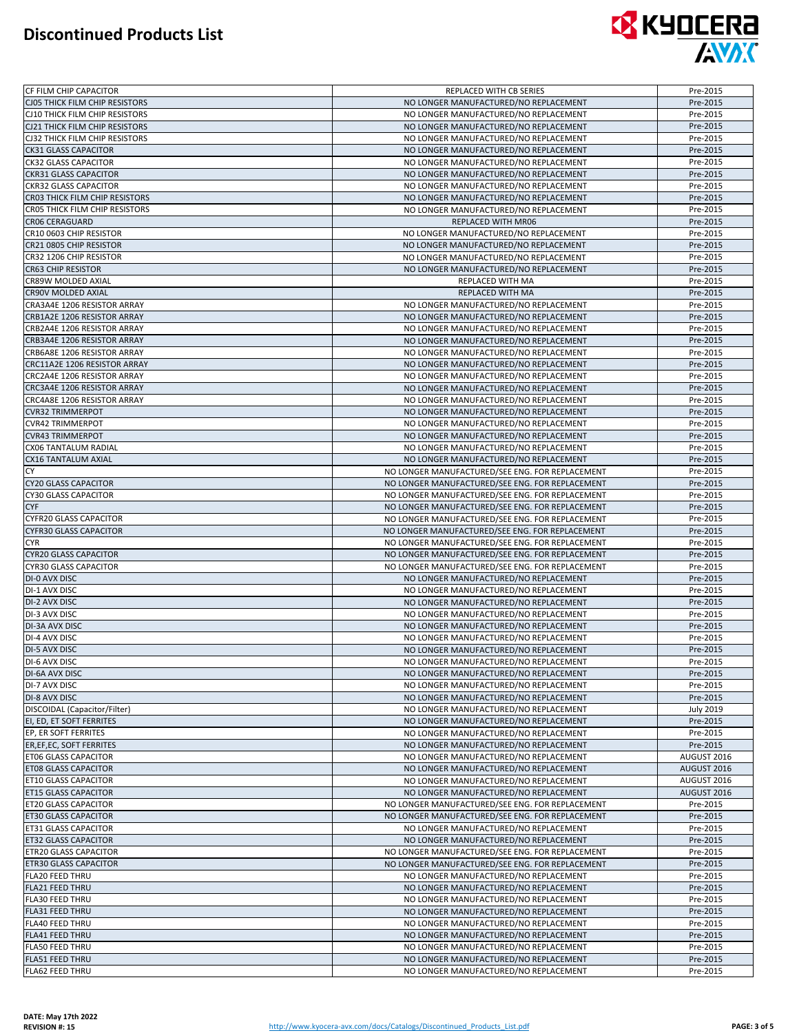

| CF FILM CHIP CAPACITOR                                     | REPLACED WITH CB SERIES                                                        | Pre-2015                   |
|------------------------------------------------------------|--------------------------------------------------------------------------------|----------------------------|
| <b>CJ05 THICK FILM CHIP RESISTORS</b>                      | NO LONGER MANUFACTURED/NO REPLACEMENT                                          | Pre-2015                   |
| <b>CJ10 THICK FILM CHIP RESISTORS</b>                      | NO LONGER MANUFACTURED/NO REPLACEMENT                                          | Pre-2015                   |
| <b>CJ21 THICK FILM CHIP RESISTORS</b>                      | NO LONGER MANUFACTURED/NO REPLACEMENT                                          | Pre-2015                   |
| <b>CJ32 THICK FILM CHIP RESISTORS</b>                      | NO LONGER MANUFACTURED/NO REPLACEMENT                                          | Pre-2015                   |
| <b>CK31 GLASS CAPACITOR</b>                                | NO LONGER MANUFACTURED/NO REPLACEMENT                                          | Pre-2015                   |
| <b>CK32 GLASS CAPACITOR</b>                                | NO LONGER MANUFACTURED/NO REPLACEMENT                                          | Pre-2015                   |
| <b>CKR31 GLASS CAPACITOR</b>                               | NO LONGER MANUFACTURED/NO REPLACEMENT                                          | Pre-2015                   |
| <b>CKR32 GLASS CAPACITOR</b>                               | NO LONGER MANUFACTURED/NO REPLACEMENT                                          | Pre-2015                   |
| CR03 THICK FILM CHIP RESISTORS                             | NO LONGER MANUFACTURED/NO REPLACEMENT                                          | Pre-2015                   |
| CRO5 THICK FILM CHIP RESISTORS                             | NO LONGER MANUFACTURED/NO REPLACEMENT                                          | Pre-2015                   |
| CR06 CERAGUARD                                             | <b>REPLACED WITH MR06</b>                                                      | Pre-2015                   |
| CR10 0603 CHIP RESISTOR                                    | NO LONGER MANUFACTURED/NO REPLACEMENT                                          | Pre-2015                   |
| CR21 0805 CHIP RESISTOR                                    | NO LONGER MANUFACTURED/NO REPLACEMENT                                          | Pre-2015                   |
| CR32 1206 CHIP RESISTOR                                    | NO LONGER MANUFACTURED/NO REPLACEMENT                                          | Pre-2015                   |
| <b>CR63 CHIP RESISTOR</b>                                  | NO LONGER MANUFACTURED/NO REPLACEMENT                                          | Pre-2015                   |
| CR89W MOLDED AXIAL                                         | REPLACED WITH MA                                                               | Pre-2015                   |
| CR90V MOLDED AXIAL                                         | REPLACED WITH MA                                                               | Pre-2015                   |
| CRA3A4E 1206 RESISTOR ARRAY                                | NO LONGER MANUFACTURED/NO REPLACEMENT                                          | Pre-2015                   |
| CRB1A2E 1206 RESISTOR ARRAY                                | NO LONGER MANUFACTURED/NO REPLACEMENT                                          | Pre-2015                   |
| CRB2A4E 1206 RESISTOR ARRAY                                | NO LONGER MANUFACTURED/NO REPLACEMENT                                          | Pre-2015                   |
| CRB3A4E 1206 RESISTOR ARRAY                                | NO LONGER MANUFACTURED/NO REPLACEMENT                                          | Pre-2015                   |
| CRB6A8E 1206 RESISTOR ARRAY                                | NO LONGER MANUFACTURED/NO REPLACEMENT                                          | Pre-2015                   |
| CRC11A2E 1206 RESISTOR ARRAY                               | NO LONGER MANUFACTURED/NO REPLACEMENT                                          | Pre-2015                   |
| CRC2A4E 1206 RESISTOR ARRAY                                | NO LONGER MANUFACTURED/NO REPLACEMENT                                          | Pre-2015                   |
| CRC3A4E 1206 RESISTOR ARRAY                                | NO LONGER MANUFACTURED/NO REPLACEMENT                                          | Pre-2015                   |
| CRC4A8E 1206 RESISTOR ARRAY                                | NO LONGER MANUFACTURED/NO REPLACEMENT                                          | Pre-2015                   |
| <b>CVR32 TRIMMERPOT</b>                                    | NO LONGER MANUFACTURED/NO REPLACEMENT                                          | Pre-2015                   |
| <b>CVR42 TRIMMERPOT</b>                                    | NO LONGER MANUFACTURED/NO REPLACEMENT                                          | Pre-2015                   |
| <b>CVR43 TRIMMERPOT</b>                                    | NO LONGER MANUFACTURED/NO REPLACEMENT                                          | Pre-2015                   |
| <b>CX06 TANTALUM RADIAL</b>                                | NO LONGER MANUFACTURED/NO REPLACEMENT                                          | Pre-2015                   |
| <b>CX16 TANTALUM AXIAL</b>                                 | NO LONGER MANUFACTURED/NO REPLACEMENT                                          | Pre-2015                   |
| CY.                                                        | NO LONGER MANUFACTURED/SEE ENG. FOR REPLACEMENT                                | Pre-2015                   |
| <b>CY20 GLASS CAPACITOR</b>                                | NO LONGER MANUFACTURED/SEE ENG. FOR REPLACEMENT                                | Pre-2015                   |
| <b>CY30 GLASS CAPACITOR</b>                                | NO LONGER MANUFACTURED/SEE ENG. FOR REPLACEMENT                                | Pre-2015                   |
| <b>CYF</b>                                                 | NO LONGER MANUFACTURED/SEE ENG. FOR REPLACEMENT                                | Pre-2015                   |
| <b>CYFR20 GLASS CAPACITOR</b>                              | NO LONGER MANUFACTURED/SEE ENG. FOR REPLACEMENT                                | Pre-2015                   |
| <b>CYFR30 GLASS CAPACITOR</b>                              | NO LONGER MANUFACTURED/SEE ENG. FOR REPLACEMENT                                | Pre-2015                   |
| <b>CYR</b>                                                 | NO LONGER MANUFACTURED/SEE ENG. FOR REPLACEMENT                                | Pre-2015                   |
| <b>CYR20 GLASS CAPACITOR</b>                               | NO LONGER MANUFACTURED/SEE ENG. FOR REPLACEMENT                                | Pre-2015                   |
| <b>CYR30 GLASS CAPACITOR</b>                               | NO LONGER MANUFACTURED/SEE ENG. FOR REPLACEMENT                                | Pre-2015                   |
| DI-0 AVX DISC                                              | NO LONGER MANUFACTURED/NO REPLACEMENT                                          | Pre-2015                   |
| DI-1 AVX DISC                                              | NO LONGER MANUFACTURED/NO REPLACEMENT                                          | Pre-2015                   |
| DI-2 AVX DISC                                              | NO LONGER MANUFACTURED/NO REPLACEMENT                                          | Pre-2015                   |
| DI-3 AVX DISC                                              | NO LONGER MANUFACTURED/NO REPLACEMENT                                          | Pre-2015                   |
| DI-3A AVX DISC                                             | NO LONGER MANUFACTURED/NO REPLACEMENT                                          | Pre-2015                   |
| DI-4 AVX DISC                                              | NO LONGER MANUFACTURED/NO REPLACEMENT                                          | Pre-2015                   |
| DI-5 AVX DISC                                              | NO LONGER MANUFACTURED/NO REPLACEMENT                                          | Pre-2015                   |
| DI-6 AVX DISC                                              | NO LONGER MANUFACTURED/NO REPLACEMENT                                          | Pre-2015                   |
| DI-6A AVX DISC                                             | NO LONGER MANUFACTURED/NO REPLACEMENT                                          | Pre-2015                   |
| DI-7 AVX DISC                                              | NO LONGER MANUFACTURED/NO REPLACEMENT                                          | Pre-2015                   |
| DI-8 AVX DISC                                              | NO LONGER MANUFACTURED/NO REPLACEMENT                                          | Pre-2015                   |
| DISCOIDAL (Capacitor/Filter)                               | NO LONGER MANUFACTURED/NO REPLACEMENT                                          | <b>July 2019</b>           |
| EI, ED, ET SOFT FERRITES                                   | NO LONGER MANUFACTURED/NO REPLACEMENT                                          | Pre-2015                   |
| EP, ER SOFT FERRITES                                       | NO LONGER MANUFACTURED/NO REPLACEMENT                                          | Pre-2015                   |
| ER, EF, EC, SOFT FERRITES<br><b>ET06 GLASS CAPACITOR</b>   | NO LONGER MANUFACTURED/NO REPLACEMENT                                          | Pre-2015<br>AUGUST 2016    |
|                                                            | NO LONGER MANUFACTURED/NO REPLACEMENT                                          |                            |
| <b>ET08 GLASS CAPACITOR</b><br><b>ET10 GLASS CAPACITOR</b> | NO LONGER MANUFACTURED/NO REPLACEMENT<br>NO LONGER MANUFACTURED/NO REPLACEMENT | AUGUST 2016<br>AUGUST 2016 |
| <b>ET15 GLASS CAPACITOR</b>                                | NO LONGER MANUFACTURED/NO REPLACEMENT                                          | AUGUST 2016                |
| <b>ET20 GLASS CAPACITOR</b>                                | NO LONGER MANUFACTURED/SEE ENG. FOR REPLACEMENT                                | Pre-2015                   |
| <b>ET30 GLASS CAPACITOR</b>                                | NO LONGER MANUFACTURED/SEE ENG. FOR REPLACEMENT                                | Pre-2015                   |
| ET31 GLASS CAPACITOR                                       | NO LONGER MANUFACTURED/NO REPLACEMENT                                          | Pre-2015                   |
| <b>ET32 GLASS CAPACITOR</b>                                | NO LONGER MANUFACTURED/NO REPLACEMENT                                          | Pre-2015                   |
| <b>ETR20 GLASS CAPACITOR</b>                               | NO LONGER MANUFACTURED/SEE ENG. FOR REPLACEMENT                                | Pre-2015                   |
| <b>ETR30 GLASS CAPACITOR</b>                               | NO LONGER MANUFACTURED/SEE ENG. FOR REPLACEMENT                                | Pre-2015                   |
| FLA20 FEED THRU                                            | NO LONGER MANUFACTURED/NO REPLACEMENT                                          | Pre-2015                   |
| <b>FLA21 FEED THRU</b>                                     | NO LONGER MANUFACTURED/NO REPLACEMENT                                          | Pre-2015                   |
| FLA30 FEED THRU                                            | NO LONGER MANUFACTURED/NO REPLACEMENT                                          | Pre-2015                   |
| <b>FLA31 FEED THRU</b>                                     | NO LONGER MANUFACTURED/NO REPLACEMENT                                          | Pre-2015                   |
| FLA40 FEED THRU                                            | NO LONGER MANUFACTURED/NO REPLACEMENT                                          | Pre-2015                   |
| <b>FLA41 FEED THRU</b>                                     | NO LONGER MANUFACTURED/NO REPLACEMENT                                          | Pre-2015                   |
| <b>FLA50 FEED THRU</b>                                     | NO LONGER MANUFACTURED/NO REPLACEMENT                                          | Pre-2015                   |
| <b>FLA51 FEED THRU</b>                                     | NO LONGER MANUFACTURED/NO REPLACEMENT                                          | Pre-2015                   |
| FLA62 FEED THRU                                            | NO LONGER MANUFACTURED/NO REPLACEMENT                                          | Pre-2015                   |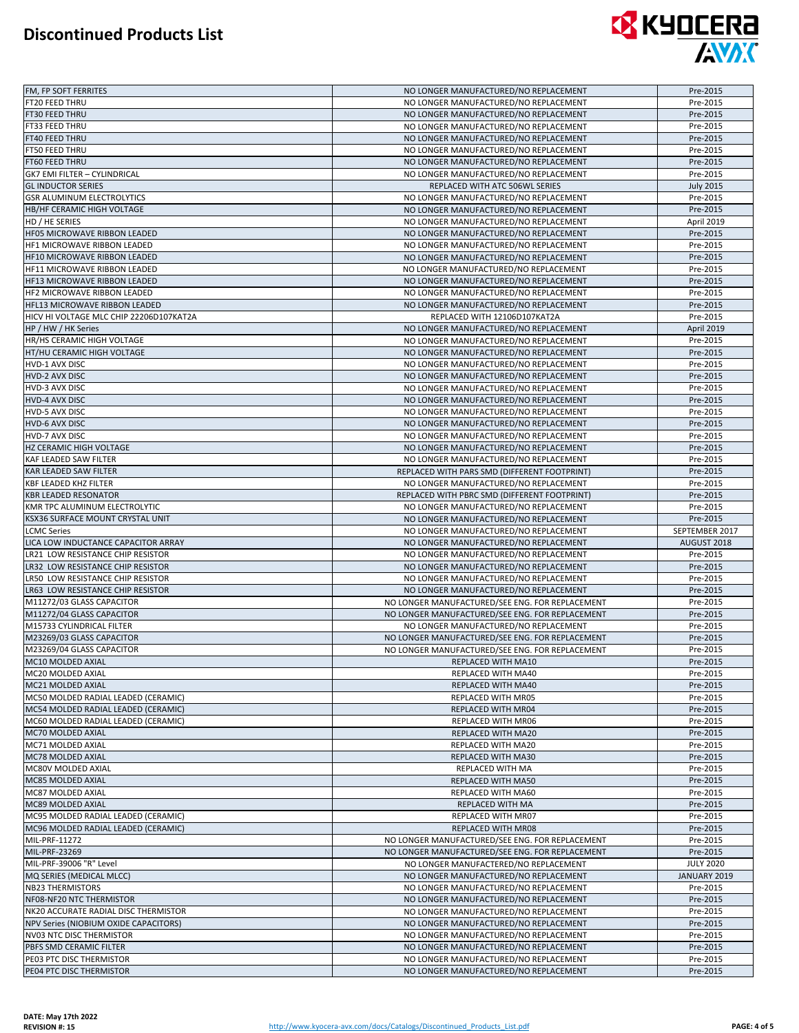

| FM, FP SOFT FERRITES                                 | NO LONGER MANUFACTURED/NO REPLACEMENT                                          | Pre-2015             |
|------------------------------------------------------|--------------------------------------------------------------------------------|----------------------|
| FT20 FEED THRU                                       | NO LONGER MANUFACTURED/NO REPLACEMENT                                          | Pre-2015             |
|                                                      |                                                                                |                      |
| FT30 FEED THRU                                       | NO LONGER MANUFACTURED/NO REPLACEMENT                                          | Pre-2015             |
| FT33 FEED THRU                                       | NO LONGER MANUFACTURED/NO REPLACEMENT                                          | Pre-2015             |
| FT40 FEED THRU                                       | NO LONGER MANUFACTURED/NO REPLACEMENT                                          | Pre-2015             |
| FT50 FEED THRU                                       | NO LONGER MANUFACTURED/NO REPLACEMENT                                          | Pre-2015             |
| FT60 FEED THRU                                       | NO LONGER MANUFACTURED/NO REPLACEMENT                                          | Pre-2015             |
| <b>GK7 EMI FILTER - CYLINDRICAL</b>                  | NO LONGER MANUFACTURED/NO REPLACEMENT                                          | Pre-2015             |
| <b>GL INDUCTOR SERIES</b>                            | REPLACED WITH ATC 506WL SERIES                                                 | <b>July 2015</b>     |
| <b>GSR ALUMINUM ELECTROLYTICS</b>                    | NO LONGER MANUFACTURED/NO REPLACEMENT                                          | Pre-2015             |
|                                                      |                                                                                |                      |
| HB/HF CERAMIC HIGH VOLTAGE                           | NO LONGER MANUFACTURED/NO REPLACEMENT                                          | Pre-2015             |
| HD / HE SERIES                                       | NO LONGER MANUFACTURED/NO REPLACEMENT                                          | April 2019           |
| HF05 MICROWAVE RIBBON LEADED                         | NO LONGER MANUFACTURED/NO REPLACEMENT                                          | Pre-2015             |
| HF1 MICROWAVE RIBBON LEADED                          | NO LONGER MANUFACTURED/NO REPLACEMENT                                          | Pre-2015             |
| HF10 MICROWAVE RIBBON LEADED                         | NO LONGER MANUFACTURED/NO REPLACEMENT                                          | Pre-2015             |
| <b>HF11 MICROWAVE RIBBON LEADED</b>                  | NO LONGER MANUFACTURED/NO REPLACEMENT                                          | Pre-2015             |
| <b>HF13 MICROWAVE RIBBON LEADED</b>                  | NO LONGER MANUFACTURED/NO REPLACEMENT                                          | Pre-2015             |
| HF2 MICROWAVE RIBBON LEADED                          | NO LONGER MANUFACTURED/NO REPLACEMENT                                          | Pre-2015             |
|                                                      |                                                                                |                      |
| <b>HFL13 MICROWAVE RIBBON LEADED</b>                 | NO LONGER MANUFACTURED/NO REPLACEMENT                                          | Pre-2015             |
| HICV HI VOLTAGE MLC CHIP 22206D107KAT2A              | REPLACED WITH 12106D107KAT2A                                                   | Pre-2015             |
| HP / HW / HK Series                                  | NO LONGER MANUFACTURED/NO REPLACEMENT                                          | April 2019           |
| HR/HS CERAMIC HIGH VOLTAGE                           | NO LONGER MANUFACTURED/NO REPLACEMENT                                          | Pre-2015             |
| HT/HU CERAMIC HIGH VOLTAGE                           | NO LONGER MANUFACTURED/NO REPLACEMENT                                          | Pre-2015             |
| HVD-1 AVX DISC                                       | NO LONGER MANUFACTURED/NO REPLACEMENT                                          | Pre-2015             |
| <b>HVD-2 AVX DISC</b>                                | NO LONGER MANUFACTURED/NO REPLACEMENT                                          | Pre-2015             |
|                                                      |                                                                                | Pre-2015             |
| HVD-3 AVX DISC                                       | NO LONGER MANUFACTURED/NO REPLACEMENT                                          |                      |
| <b>HVD-4 AVX DISC</b>                                | NO LONGER MANUFACTURED/NO REPLACEMENT                                          | Pre-2015             |
| HVD-5 AVX DISC                                       | NO LONGER MANUFACTURED/NO REPLACEMENT                                          | Pre-2015             |
| <b>HVD-6 AVX DISC</b>                                | NO LONGER MANUFACTURED/NO REPLACEMENT                                          | Pre-2015             |
| HVD-7 AVX DISC                                       | NO LONGER MANUFACTURED/NO REPLACEMENT                                          | Pre-2015             |
| HZ CERAMIC HIGH VOLTAGE                              | NO LONGER MANUFACTURED/NO REPLACEMENT                                          | Pre-2015             |
| <b>KAF LEADED SAW FILTER</b>                         | NO LONGER MANUFACTURED/NO REPLACEMENT                                          | Pre-2015             |
| KAR LEADED SAW FILTER                                | REPLACED WITH PARS SMD (DIFFERENT FOOTPRINT)                                   | Pre-2015             |
|                                                      |                                                                                |                      |
| <b>KBF LEADED KHZ FILTER</b>                         | NO LONGER MANUFACTURED/NO REPLACEMENT                                          | Pre-2015             |
| <b>KBR LEADED RESONATOR</b>                          | REPLACED WITH PBRC SMD (DIFFERENT FOOTPRINT)                                   | Pre-2015             |
| KMR TPC ALUMINUM ELECTROLYTIC                        | NO LONGER MANUFACTURED/NO REPLACEMENT                                          | Pre-2015             |
| KSX36 SURFACE MOUNT CRYSTAL UNIT                     | NO LONGER MANUFACTURED/NO REPLACEMENT                                          | Pre-2015             |
|                                                      |                                                                                |                      |
| <b>LCMC Series</b>                                   | NO LONGER MANUFACTURED/NO REPLACEMENT                                          | SEPTEMBER 2017       |
| LICA LOW INDUCTANCE CAPACITOR ARRAY                  |                                                                                | AUGUST 2018          |
|                                                      | NO LONGER MANUFACTURED/NO REPLACEMENT                                          |                      |
| LR21 LOW RESISTANCE CHIP RESISTOR                    | NO LONGER MANUFACTURED/NO REPLACEMENT                                          | Pre-2015             |
| LR32 LOW RESISTANCE CHIP RESISTOR                    | NO LONGER MANUFACTURED/NO REPLACEMENT                                          | Pre-2015             |
| LR50 LOW RESISTANCE CHIP RESISTOR                    | NO LONGER MANUFACTURED/NO REPLACEMENT                                          | Pre-2015             |
| LR63 LOW RESISTANCE CHIP RESISTOR                    | NO LONGER MANUFACTURED/NO REPLACEMENT                                          | Pre-2015             |
| M11272/03 GLASS CAPACITOR                            | NO LONGER MANUFACTURED/SEE ENG. FOR REPLACEMENT                                | Pre-2015             |
| M11272/04 GLASS CAPACITOR                            | NO LONGER MANUFACTURED/SEE ENG. FOR REPLACEMENT                                | Pre-2015             |
| M15733 CYLINDRICAL FILTER                            | NO LONGER MANUFACTURED/NO REPLACEMENT                                          | Pre-2015             |
|                                                      |                                                                                |                      |
| M23269/03 GLASS CAPACITOR                            | NO LONGER MANUFACTURED/SEE ENG. FOR REPLACEMENT                                | Pre-2015             |
| M23269/04 GLASS CAPACITOR                            | NO LONGER MANUFACTURED/SEE ENG. FOR REPLACEMENT                                | Pre-2015             |
| MC10 MOLDED AXIAL                                    | REPLACED WITH MA10                                                             | Pre-2015             |
| MC20 MOLDED AXIAL                                    | REPLACED WITH MA40                                                             | Pre-2015             |
| MC21 MOLDED AXIAL                                    | REPLACED WITH MA40                                                             | Pre-2015             |
| MC50 MOLDED RADIAL LEADED (CERAMIC)                  | REPLACED WITH MR05                                                             | Pre-2015             |
| MC54 MOLDED RADIAL LEADED (CERAMIC)                  | <b>REPLACED WITH MR04</b>                                                      | Pre-2015             |
| MC60 MOLDED RADIAL LEADED (CERAMIC)                  | REPLACED WITH MR06                                                             | Pre-2015             |
| MC70 MOLDED AXIAL                                    | REPLACED WITH MA20                                                             | Pre-2015             |
| MC71 MOLDED AXIAL                                    |                                                                                | Pre-2015             |
|                                                      | REPLACED WITH MA20                                                             |                      |
| MC78 MOLDED AXIAL                                    | REPLACED WITH MA30                                                             | Pre-2015             |
| MC80V MOLDED AXIAL                                   | REPLACED WITH MA                                                               | Pre-2015             |
| MC85 MOLDED AXIAL                                    | REPLACED WITH MA50                                                             | Pre-2015             |
| MC87 MOLDED AXIAL                                    | REPLACED WITH MA60                                                             | Pre-2015             |
| MC89 MOLDED AXIAL                                    | REPLACED WITH MA                                                               | Pre-2015             |
| MC95 MOLDED RADIAL LEADED (CERAMIC)                  | REPLACED WITH MR07                                                             | Pre-2015             |
| MC96 MOLDED RADIAL LEADED (CERAMIC)                  | <b>REPLACED WITH MR08</b>                                                      | Pre-2015             |
| MIL-PRF-11272                                        | NO LONGER MANUFACTURED/SEE ENG. FOR REPLACEMENT                                | Pre-2015             |
|                                                      |                                                                                |                      |
| MIL-PRF-23269                                        | NO LONGER MANUFACTURED/SEE ENG. FOR REPLACEMENT                                | Pre-2015             |
| MIL-PRF-39006 "R" Level                              | NO LONGER MANUFACTERED/NO REPLACEMENT                                          | <b>JULY 2020</b>     |
| MQ SERIES (MEDICAL MLCC)                             | NO LONGER MANUFACTURED/NO REPLACEMENT                                          | JANUARY 2019         |
| <b>NB23 THERMISTORS</b>                              | NO LONGER MANUFACTURED/NO REPLACEMENT                                          | Pre-2015             |
| NF08-NF20 NTC THERMISTOR                             | NO LONGER MANUFACTURED/NO REPLACEMENT                                          | Pre-2015             |
| NK20 ACCURATE RADIAL DISC THERMISTOR                 | NO LONGER MANUFACTURED/NO REPLACEMENT                                          | Pre-2015             |
| NPV Series (NIOBIUM OXIDE CAPACITORS)                | NO LONGER MANUFACTURED/NO REPLACEMENT                                          | Pre-2015             |
| NV03 NTC DISC THERMISTOR                             | NO LONGER MANUFACTURED/NO REPLACEMENT                                          | Pre-2015             |
|                                                      |                                                                                |                      |
| PBFS SMD CERAMIC FILTER                              | NO LONGER MANUFACTURED/NO REPLACEMENT                                          | Pre-2015             |
| PE03 PTC DISC THERMISTOR<br>PE04 PTC DISC THERMISTOR | NO LONGER MANUFACTURED/NO REPLACEMENT<br>NO LONGER MANUFACTURED/NO REPLACEMENT | Pre-2015<br>Pre-2015 |